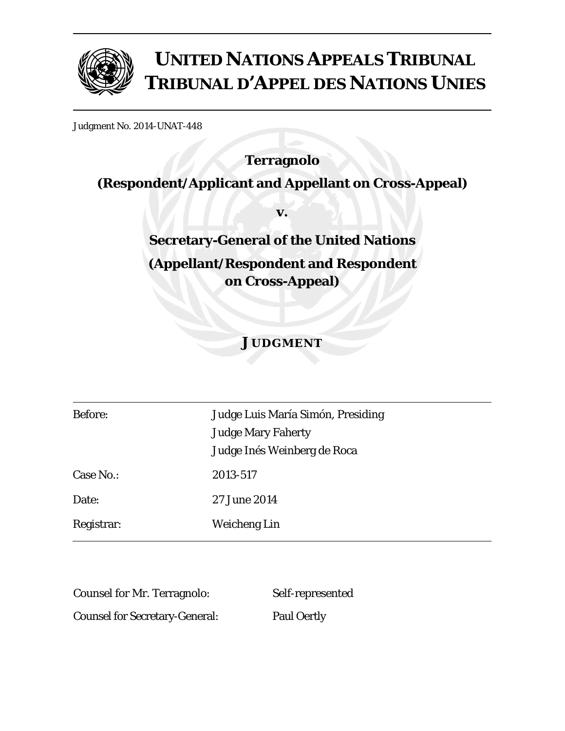

# **UNITED NATIONS APPEALS TRIBUNAL TRIBUNAL D'APPEL DES NATIONS UNIES**

Judgment No. 2014-UNAT-448

## **Terragnolo**

## **(Respondent/Applicant and Appellant on Cross-Appeal)**

**v.** 

## **Secretary-General of the United Nations (Appellant/Respondent and Respondent on Cross-Appeal)**

### **JUDGMENT**

| <b>Before:</b> | Judge Luis María Simón, Presiding<br><b>Judge Mary Faherty</b> |
|----------------|----------------------------------------------------------------|
|                | Judge Inés Weinberg de Roca                                    |
| Case No.:      | 2013-517                                                       |
| Date:          | 27 June 2014                                                   |
| Registrar:     | <b>Weicheng Lin</b>                                            |

Counsel for Mr. Terragnolo: Self-represented

Counsel for Secretary-General: Paul Oertly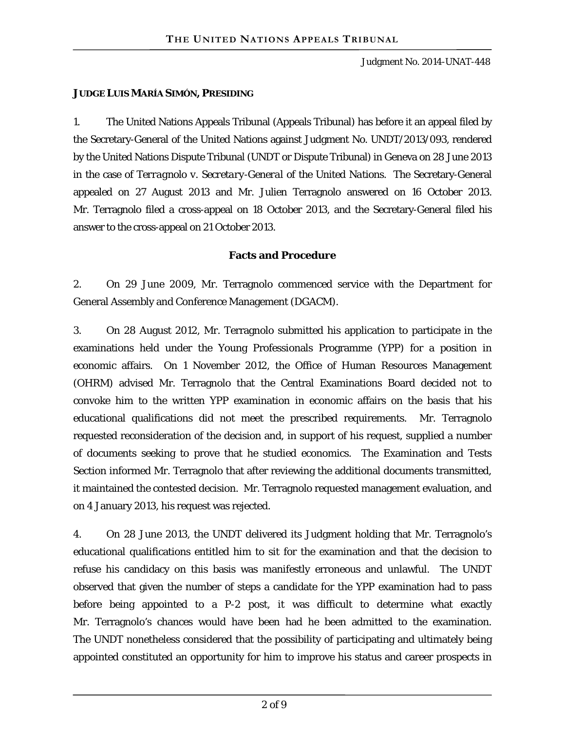#### **JUDGE LUIS MARÍA SIMÓN, PRESIDING**

1. The United Nations Appeals Tribunal (Appeals Tribunal) has before it an appeal filed by the Secretary-General of the United Nations against Judgment No. UNDT/2013/093, rendered by the United Nations Dispute Tribunal (UNDT or Dispute Tribunal) in Geneva on 28 June 2013 in the case of *Terragnolo v. Secretary-General of the United Nations*. The Secretary-General appealed on 27 August 2013 and Mr. Julien Terragnolo answered on 16 October 2013. Mr. Terragnolo filed a cross-appeal on 18 October 2013, and the Secretary-General filed his answer to the cross-appeal on 21 October 2013.

#### **Facts and Procedure**

2. On 29 June 2009, Mr. Terragnolo commenced service with the Department for General Assembly and Conference Management (DGACM).

3. On 28 August 2012, Mr. Terragnolo submitted his application to participate in the examinations held under the Young Professionals Programme (YPP) for a position in economic affairs. On 1 November 2012, the Office of Human Resources Management (OHRM) advised Mr. Terragnolo that the Central Examinations Board decided not to convoke him to the written YPP examination in economic affairs on the basis that his educational qualifications did not meet the prescribed requirements. Mr. Terragnolo requested reconsideration of the decision and, in support of his request, supplied a number of documents seeking to prove that he studied economics. The Examination and Tests Section informed Mr. Terragnolo that after reviewing the additional documents transmitted, it maintained the contested decision. Mr. Terragnolo requested management evaluation, and on 4 January 2013, his request was rejected.

4. On 28 June 2013, the UNDT delivered its Judgment holding that Mr. Terragnolo's educational qualifications entitled him to sit for the examination and that the decision to refuse his candidacy on this basis was manifestly erroneous and unlawful. The UNDT observed that given the number of steps a candidate for the YPP examination had to pass before being appointed to a P-2 post, it was difficult to determine what exactly Mr. Terragnolo's chances would have been had he been admitted to the examination. The UNDT nonetheless considered that the possibility of participating and ultimately being appointed constituted an opportunity for him to improve his status and career prospects in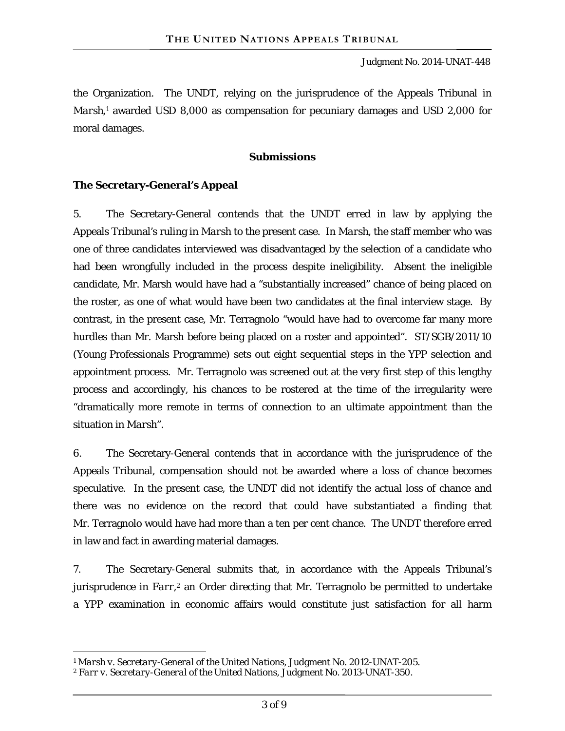the Organization. The UNDT, relying on the jurisprudence of the Appeals Tribunal in Marsh,<sup>1</sup> awarded USD 8,000 as compensation for pecuniary damages and USD 2,000 for moral damages.

#### **Submissions**

#### **The Secretary-General's Appeal**

5. The Secretary-General contends that the UNDT erred in law by applying the Appeals Tribunal's ruling in *Marsh* to the present case. In *Marsh*, the staff member who was one of three candidates interviewed was disadvantaged by the selection of a candidate who had been wrongfully included in the process despite ineligibility. Absent the ineligible candidate, Mr. Marsh would have had a "substantially increased" chance of being placed on the roster, as one of what would have been two candidates at the final interview stage. By contrast, in the present case, Mr. Terragnolo "would have had to overcome far many more hurdles than Mr. Marsh before being placed on a roster and appointed". ST/SGB/2011/10 (Young Professionals Programme) sets out eight sequential steps in the YPP selection and appointment process. Mr. Terragnolo was screened out at the very first step of this lengthy process and accordingly, his chances to be rostered at the time of the irregularity were "dramatically more remote in terms of connection to an ultimate appointment than the situation in *Marsh*".

6. The Secretary-General contends that in accordance with the jurisprudence of the Appeals Tribunal, compensation should not be awarded where a loss of chance becomes speculative. In the present case, the UNDT did not identify the actual loss of chance and there was no evidence on the record that could have substantiated a finding that Mr. Terragnolo would have had more than a ten per cent chance. The UNDT therefore erred in law and fact in awarding material damages.

7. The Secretary-General submits that, in accordance with the Appeals Tribunal's jurisprudence in *Farr*,<sup>2</sup> an Order directing that Mr. Terragnolo be permitted to undertake a YPP examination in economic affairs would constitute just satisfaction for all harm

 $\overline{a}$ 

<sup>1</sup> *Marsh v. Secretary-General of the United Nations*, Judgment No. 2012-UNAT-205.

<sup>2</sup> *Farr v. Secretary-General of the United Nations*, Judgment No. 2013-UNAT-350.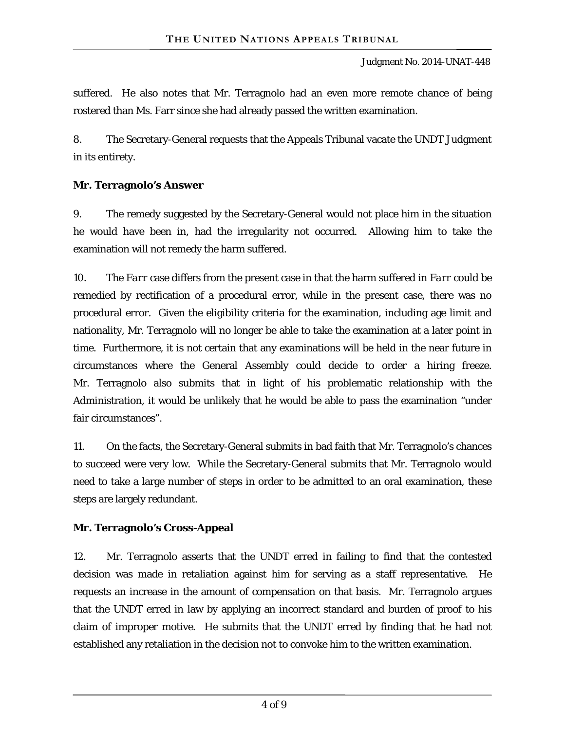suffered. He also notes that Mr. Terragnolo had an even more remote chance of being rostered than Ms. Farr since she had already passed the written examination.

8. The Secretary-General requests that the Appeals Tribunal vacate the UNDT Judgment in its entirety.

#### **Mr. Terragnolo's Answer**

9. The remedy suggested by the Secretary-General would not place him in the situation he would have been in, had the irregularity not occurred. Allowing him to take the examination will not remedy the harm suffered.

10. The *Farr* case differs from the present case in that the harm suffered in *Farr* could be remedied by rectification of a procedural error, while in the present case, there was no procedural error. Given the eligibility criteria for the examination, including age limit and nationality, Mr. Terragnolo will no longer be able to take the examination at a later point in time. Furthermore, it is not certain that any examinations will be held in the near future in circumstances where the General Assembly could decide to order a hiring freeze. Mr. Terragnolo also submits that in light of his problematic relationship with the Administration, it would be unlikely that he would be able to pass the examination "under fair circumstances".

11. On the facts, the Secretary-General submits in bad faith that Mr. Terragnolo's chances to succeed were very low. While the Secretary-General submits that Mr. Terragnolo would need to take a large number of steps in order to be admitted to an oral examination, these steps are largely redundant.

#### **Mr. Terragnolo's Cross-Appeal**

12. Mr. Terragnolo asserts that the UNDT erred in failing to find that the contested decision was made in retaliation against him for serving as a staff representative. He requests an increase in the amount of compensation on that basis. Mr. Terragnolo argues that the UNDT erred in law by applying an incorrect standard and burden of proof to his claim of improper motive. He submits that the UNDT erred by finding that he had not established any retaliation in the decision not to convoke him to the written examination.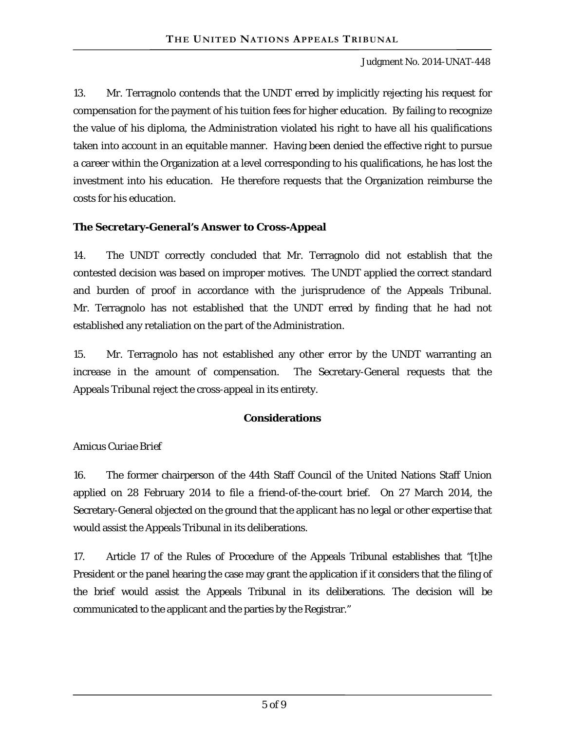13. Mr. Terragnolo contends that the UNDT erred by implicitly rejecting his request for compensation for the payment of his tuition fees for higher education. By failing to recognize the value of his diploma, the Administration violated his right to have all his qualifications taken into account in an equitable manner. Having been denied the effective right to pursue a career within the Organization at a level corresponding to his qualifications, he has lost the investment into his education. He therefore requests that the Organization reimburse the costs for his education.

#### **The Secretary-General's Answer to Cross-Appeal**

14. The UNDT correctly concluded that Mr. Terragnolo did not establish that the contested decision was based on improper motives. The UNDT applied the correct standard and burden of proof in accordance with the jurisprudence of the Appeals Tribunal. Mr. Terragnolo has not established that the UNDT erred by finding that he had not established any retaliation on the part of the Administration.

15. Mr. Terragnolo has not established any other error by the UNDT warranting an increase in the amount of compensation. The Secretary-General requests that the Appeals Tribunal reject the cross-appeal in its entirety.

#### **Considerations**

#### *Amicus Curiae Brief*

16. The former chairperson of the 44th Staff Council of the United Nations Staff Union applied on 28 February 2014 to file a friend-of-the-court brief. On 27 March 2014, the Secretary-General objected on the ground that the applicant has no legal or other expertise that would assist the Appeals Tribunal in its deliberations.

17. Article 17 of the Rules of Procedure of the Appeals Tribunal establishes that "[t]he President or the panel hearing the case may grant the application if it considers that the filing of the brief would assist the Appeals Tribunal in its deliberations. The decision will be communicated to the applicant and the parties by the Registrar."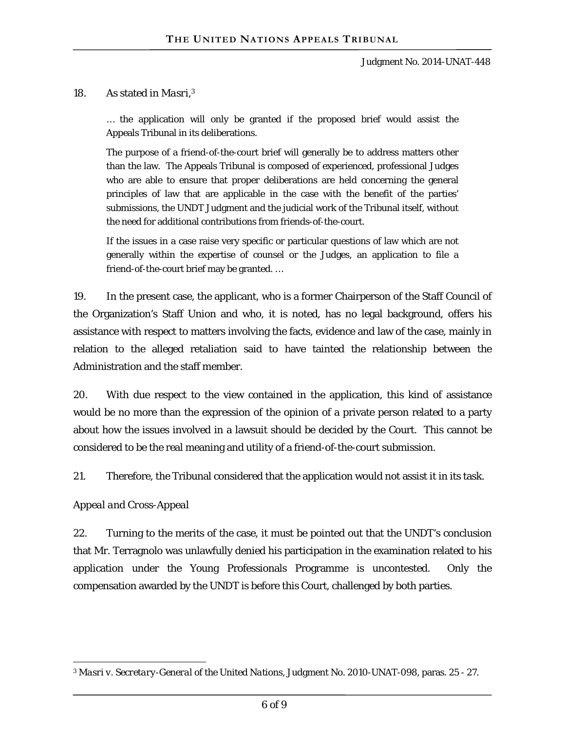#### 18. As stated in *Masri*, 3

… the application will only be granted if the proposed brief would assist the Appeals Tribunal in its deliberations.

The purpose of a friend-of-the-court brief will generally be to address matters other than the law. The Appeals Tribunal is composed of experienced, professional Judges who are able to ensure that proper deliberations are held concerning the general principles of law that are applicable in the case with the benefit of the parties' submissions, the UNDT Judgment and the judicial work of the Tribunal itself, without the need for additional contributions from friends-of-the-court.

If the issues in a case raise very specific or particular questions of law which are not generally within the expertise of counsel or the Judges, an application to file a friend-of-the-court brief may be granted. …

19. In the present case, the applicant, who is a former Chairperson of the Staff Council of the Organization's Staff Union and who, it is noted, has no legal background, offers his assistance with respect to matters involving the facts, evidence and law of the case, mainly in relation to the alleged retaliation said to have tainted the relationship between the Administration and the staff member.

20. With due respect to the view contained in the application, this kind of assistance would be no more than the expression of the opinion of a private person related to a party about how the issues involved in a lawsuit should be decided by the Court. This cannot be considered to be the real meaning and utility of a friend-of-the-court submission.

21. Therefore, the Tribunal considered that the application would not assist it in its task.

#### *Appeal and Cross-Appeal*

22. Turning to the merits of the case, it must be pointed out that the UNDT's conclusion that Mr. Terragnolo was unlawfully denied his participation in the examination related to his application under the Young Professionals Programme is uncontested. Only the compensation awarded by the UNDT is before this Court, challenged by both parties.

 $\overline{a}$ <sup>3</sup> *Masri v. Secretary-General of the United Nations*, Judgment No. 2010-UNAT-098, paras. 25 - 27.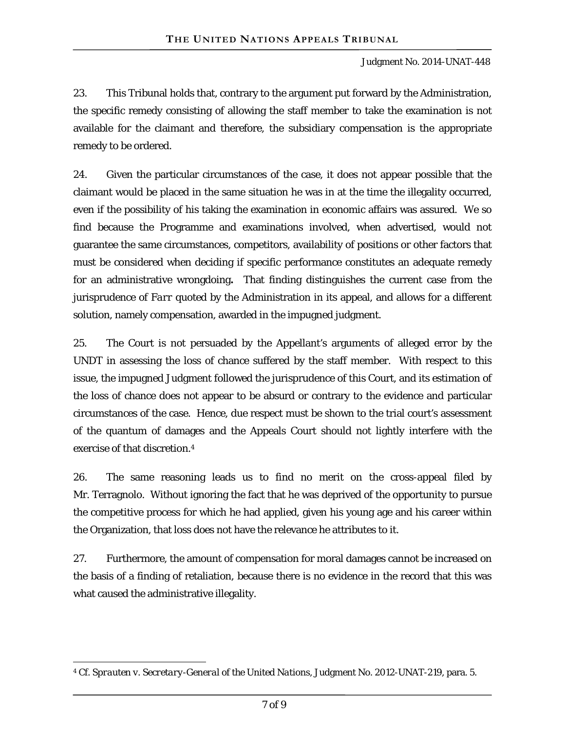23. This Tribunal holds that, contrary to the argument put forward by the Administration, the specific remedy consisting of allowing the staff member to take the examination is not available for the claimant and therefore, the subsidiary compensation is the appropriate remedy to be ordered.

24. Given the particular circumstances of the case, it does not appear possible that the claimant would be placed in the same situation he was in at the time the illegality occurred, even if the possibility of his taking the examination in economic affairs was assured. We so find because the Programme and examinations involved, when advertised, would not guarantee the same circumstances, competitors, availability of positions or other factors that must be considered when deciding if specific performance constitutes an adequate remedy for an administrative wrongdoing**.** That finding distinguishes the current case from the jurisprudence of *Farr* quoted by the Administration in its appeal, and allows for a different solution, namely compensation, awarded in the impugned judgment.

25. The Court is not persuaded by the Appellant's arguments of alleged error by the UNDT in assessing the loss of chance suffered by the staff member. With respect to this issue, the impugned Judgment followed the jurisprudence of this Court, and its estimation of the loss of chance does not appear to be absurd or contrary to the evidence and particular circumstances of the case. Hence, due respect must be shown to the trial court's assessment of the quantum of damages and the Appeals Court should not lightly interfere with the exercise of that discretion.4

26. The same reasoning leads us to find no merit on the cross-appeal filed by Mr. Terragnolo. Without ignoring the fact that he was deprived of the opportunity to pursue the competitive process for which he had applied, given his young age and his career within the Organization, that loss does not have the relevance he attributes to it.

27. Furthermore, the amount of compensation for moral damages cannot be increased on the basis of a finding of retaliation, because there is no evidence in the record that this was what caused the administrative illegality.

 $\overline{a}$ 4 Cf. *Sprauten v. Secretary-General of the United Nations*, Judgment No. 2012-UNAT-219, para. 5.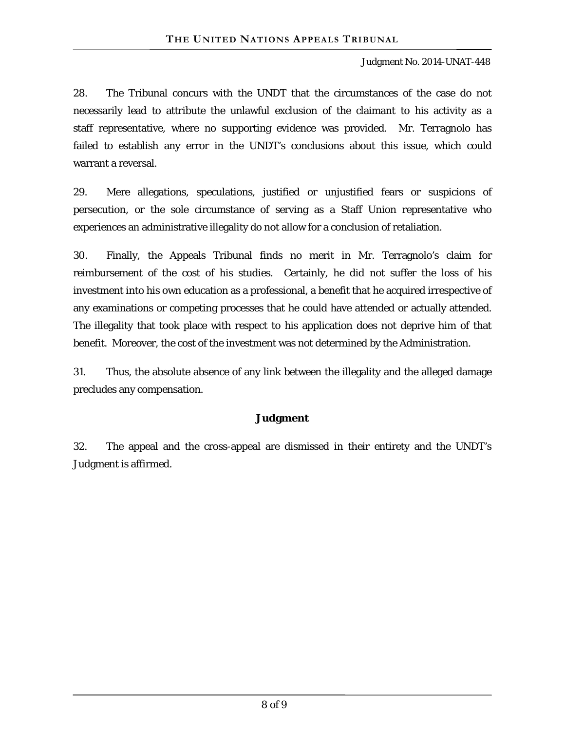#### Judgment No. 2014-UNAT-448

28. The Tribunal concurs with the UNDT that the circumstances of the case do not necessarily lead to attribute the unlawful exclusion of the claimant to his activity as a staff representative, where no supporting evidence was provided. Mr. Terragnolo has failed to establish any error in the UNDT's conclusions about this issue, which could warrant a reversal.

29. Mere allegations, speculations, justified or unjustified fears or suspicions of persecution, or the sole circumstance of serving as a Staff Union representative who experiences an administrative illegality do not allow for a conclusion of retaliation.

30. Finally, the Appeals Tribunal finds no merit in Mr. Terragnolo's claim for reimbursement of the cost of his studies. Certainly, he did not suffer the loss of his investment into his own education as a professional, a benefit that he acquired irrespective of any examinations or competing processes that he could have attended or actually attended. The illegality that took place with respect to his application does not deprive him of that benefit. Moreover, the cost of the investment was not determined by the Administration.

31. Thus, the absolute absence of any link between the illegality and the alleged damage precludes any compensation.

#### **Judgment**

32. The appeal and the cross-appeal are dismissed in their entirety and the UNDT's Judgment is affirmed.